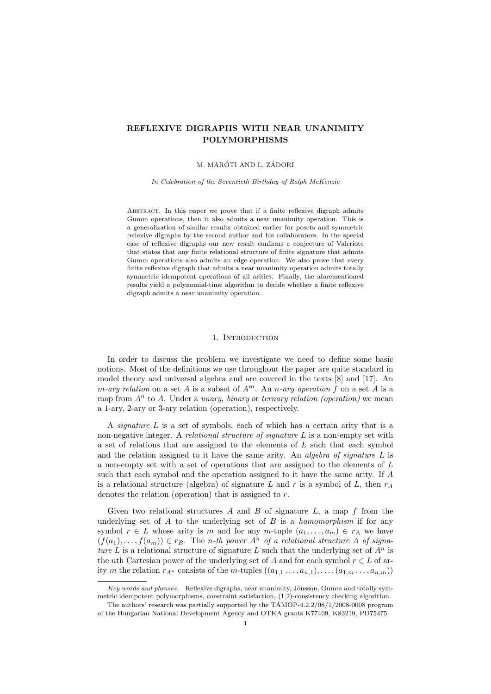# REFLEXIVE DIGRAPHS WITH NEAR UNANIMITY POLYMORPHISMS

#### M. MARÓTI AND L. ZÁDORI

In Celebration of the Seventieth Birthday of Ralph McKenzie

ABSTRACT. In this paper we prove that if a finite reflexive digraph admits Gumm operations, then it also admits a near unanimity operation. This is a generalization of similar results obtained earlier for posets and symmetric reflexive digraphs by the second author and his collaborators. In the special case of reflexive digraphs our new result confirms a conjecture of Valeriote that states that any finite relational structure of finite signature that admits Gumm operations also admits an edge operation. We also prove that every finite reflexive digraph that admits a near unanimity operation admits totally symmetric idempotent operations of all arities. Finally, the aforementioned results yield a polynomial-time algorithm to decide whether a finite reflexive digraph admits a near unanimity operation.

## 1. INTRODUCTION

In order to discuss the problem we investigate we need to define some basic notions. Most of the definitions we use throughout the paper are quite standard in model theory and universal algebra and are covered in the texts [8] and [17]. An m-ary relation on a set A is a subset of  $A^m$ . An n-ary operation f on a set A is a map from  $A<sup>n</sup>$  to A. Under a *unary, binary* or *ternary relation (operation)* we mean a 1-ary, 2-ary or 3-ary relation (operation), respectively.

A signature L is a set of symbols, each of which has a certain arity that is a non-negative integer. A relational structure of signature L is a non-empty set with a set of relations that are assigned to the elements of  $L$  such that each symbol and the relation assigned to it have the same arity. An algebra of signature  $L$  is a non-empty set with a set of operations that are assigned to the elements of L such that each symbol and the operation assigned to it have the same arity. If A is a relational structure (algebra) of signature L and r is a symbol of L, then  $r_A$ denotes the relation (operation) that is assigned to r.

Given two relational structures A and B of signature L, a map f from the underlying set of  $A$  to the underlying set of  $B$  is a *homomorphism* if for any symbol  $r \in L$  whose arity is m and for any m-tuple  $(a_1, \ldots, a_m) \in r_A$  we have  $(f(a_1), \ldots, f(a_m)) \in r_B$ . The *n*-th power  $A^n$  of a relational structure A of signature L is a relational structure of signature L such that the underlying set of  $A^n$  is the nth Cartesian power of the underlying set of A and for each symbol  $r \in L$  of arity m the relation  $r_{A^n}$  consists of the m-tuples  $((a_{1,1},\ldots,a_{n,1}),\ldots,(a_{1,m},\ldots,a_{n,m}))$ 

Key words and phrases. Reflexive digraphs, near unanimity, Jónsson, Gumm and totally symmetric idempotent polymorphisms, constraint satisfaction, (1,2)-consistency checking algorithm.

The authors' research was partially supported by the  $T\text{AMOP-4.2.2}/08/1/2008-0008$  program of the Hungarian National Development Agency and OTKA grants K77409, K83219, PD75475.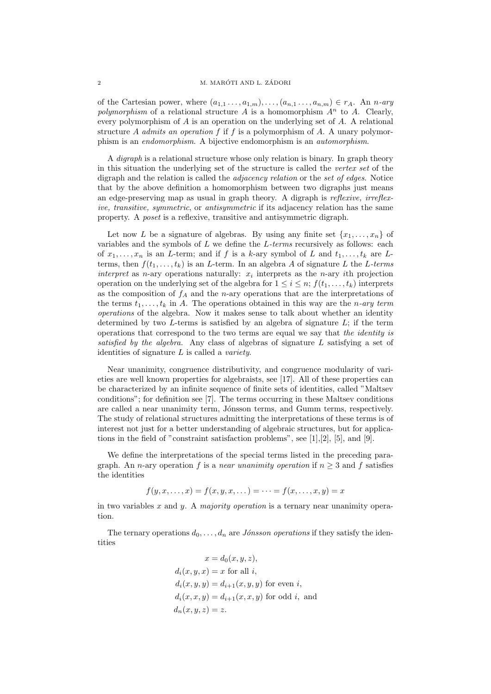### 2 M. MARÓTI AND L. ZÁDORI

of the Cartesian power, where  $(a_{1,1},\ldots,a_{1,m}),\ldots,(a_{n,1},\ldots,a_{n,m})\in r_A$ . An n-ary polymorphism of a relational structure A is a homomorphism  $A^n$  to A. Clearly, every polymorphism of  $A$  is an operation on the underlying set of  $A$ . A relational structure A admits an operation f if f is a polymorphism of A. A unary polymorphism is an endomorphism. A bijective endomorphism is an automorphism.

A digraph is a relational structure whose only relation is binary. In graph theory in this situation the underlying set of the structure is called the vertex set of the digraph and the relation is called the *adjacency relation* or the set of edges. Notice that by the above definition a homomorphism between two digraphs just means an edge-preserving map as usual in graph theory. A digraph is reflexive, irreflexive, transitive, symmetric, or antisymmetric if its adjacency relation has the same property. A poset is a reflexive, transitive and antisymmetric digraph.

Let now L be a signature of algebras. By using any finite set  $\{x_1, \ldots, x_n\}$  of variables and the symbols of  $L$  we define the  $L$ -terms recursively as follows: each of  $x_1, \ldots, x_n$  is an L-term; and if f is a k-ary symbol of L and  $t_1, \ldots, t_k$  are Lterms, then  $f(t_1, \ldots, t_k)$  is an *L*-term. In an algebra *A* of signature *L* the *L-terms* interpret as *n*-ary operations naturally:  $x_i$  interprets as the *n*-ary *i*th projection operation on the underlying set of the algebra for  $1 \leq i \leq n$ ;  $f(t_1, \ldots, t_k)$  interprets as the composition of  $f_A$  and the *n*-ary operations that are the interpretations of the terms  $t_1, \ldots, t_k$  in A. The operations obtained in this way are the n-ary term operations of the algebra. Now it makes sense to talk about whether an identity determined by two  $L$ -terms is satisfied by an algebra of signature  $L$ ; if the term operations that correspond to the two terms are equal we say that the identity is satisfied by the algebra. Any class of algebras of signature  $L$  satisfying a set of identities of signature  $L$  is called a *variety*.

Near unanimity, congruence distributivity, and congruence modularity of varieties are well known properties for algebraists, see [17]. All of these properties can be characterized by an infinite sequence of finite sets of identities, called "Maltsev conditions"; for definition see [7]. The terms occurring in these Maltsev conditions are called a near unanimity term, Jónsson terms, and Gumm terms, respectively. The study of relational structures admitting the interpretations of these terms is of interest not just for a better understanding of algebraic structures, but for applications in the field of "constraint satisfaction problems", see [1],[2], [5], and [9].

We define the interpretations of the special terms listed in the preceding paragraph. An *n*-ary operation f is a *near unanimity operation* if  $n > 3$  and f satisfies the identities

$$
f(y, x, \dots, x) = f(x, y, x, \dots) = \dots = f(x, \dots, x, y) = x
$$

in two variables x and y. A majority operation is a ternary near unanimity operation.

The ternary operations  $d_0, \ldots, d_n$  are *Jónsson operations* if they satisfy the identities

$$
x = d_0(x, y, z),
$$
  
\n
$$
d_i(x, y, x) = x \text{ for all } i,
$$
  
\n
$$
d_i(x, y, y) = d_{i+1}(x, y, y) \text{ for even } i,
$$
  
\n
$$
d_i(x, x, y) = d_{i+1}(x, x, y) \text{ for odd } i, \text{ and}
$$
  
\n
$$
d_n(x, y, z) = z.
$$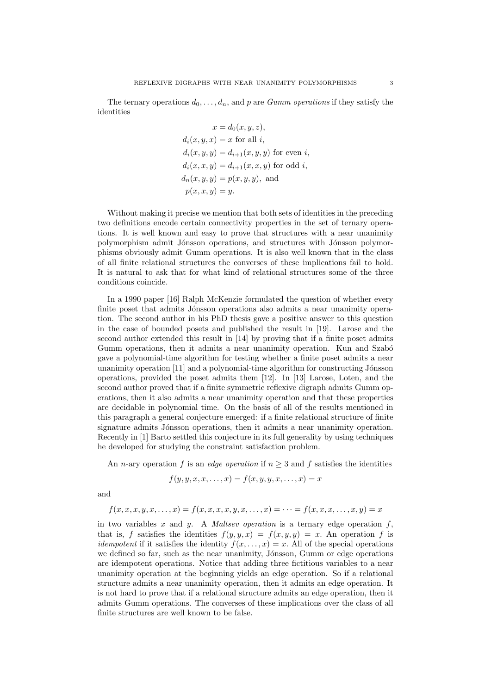The ternary operations  $d_0, \ldots, d_n$ , and p are *Gumm operations* if they satisfy the identities

$$
x = d_0(x, y, z),
$$
  
\n
$$
d_i(x, y, x) = x \text{ for all } i,
$$
  
\n
$$
d_i(x, y, y) = d_{i+1}(x, y, y) \text{ for even } i,
$$
  
\n
$$
d_i(x, x, y) = d_{i+1}(x, x, y) \text{ for odd } i,
$$
  
\n
$$
d_n(x, y, y) = p(x, y, y), \text{ and}
$$
  
\n
$$
p(x, x, y) = y.
$$

Without making it precise we mention that both sets of identities in the preceding two definitions encode certain connectivity properties in the set of ternary operations. It is well known and easy to prove that structures with a near unanimity polymorphism admit Jónsson operations, and structures with Jónsson polymorphisms obviously admit Gumm operations. It is also well known that in the class of all finite relational structures the converses of these implications fail to hold. It is natural to ask that for what kind of relational structures some of the three conditions coincide.

In a 1990 paper [16] Ralph McKenzie formulated the question of whether every finite poset that admits Jónsson operations also admits a near unanimity operation. The second author in his PhD thesis gave a positive answer to this question in the case of bounded posets and published the result in [19]. Larose and the second author extended this result in [14] by proving that if a finite poset admits Gumm operations, then it admits a near unanimity operation. Kun and Szabó gave a polynomial-time algorithm for testing whether a finite poset admits a near unanimity operation  $[11]$  and a polynomial-time algorithm for constructing Jónsson operations, provided the poset admits them [12]. In [13] Larose, Loten, and the second author proved that if a finite symmetric reflexive digraph admits Gumm operations, then it also admits a near unanimity operation and that these properties are decidable in polynomial time. On the basis of all of the results mentioned in this paragraph a general conjecture emerged: if a finite relational structure of finite signature admits Jónsson operations, then it admits a near unanimity operation. Recently in [1] Barto settled this conjecture in its full generality by using techniques he developed for studying the constraint satisfaction problem.

An *n*-ary operation f is an *edge operation* if  $n \geq 3$  and f satisfies the identities

$$
f(y, y, x, x, \dots, x) = f(x, y, y, x, \dots, x) = x
$$

and

$$
f(x,x,x,y,x,\ldots,x)=f(x,x,x,x,y,x,\ldots,x) = \cdots = f(x,x,x,\ldots,x,y) = x
$$

in two variables  $x$  and  $y$ . A *Maltsev operation* is a ternary edge operation  $f$ , that is, f satisfies the identities  $f(y, y, x) = f(x, y, y) = x$ . An operation f is *idempotent* if it satisfies the identity  $f(x, \ldots, x) = x$ . All of the special operations we defined so far, such as the near unanimity, Jónsson, Gumm or edge operations are idempotent operations. Notice that adding three fictitious variables to a near unanimity operation at the beginning yields an edge operation. So if a relational structure admits a near unanimity operation, then it admits an edge operation. It is not hard to prove that if a relational structure admits an edge operation, then it admits Gumm operations. The converses of these implications over the class of all finite structures are well known to be false.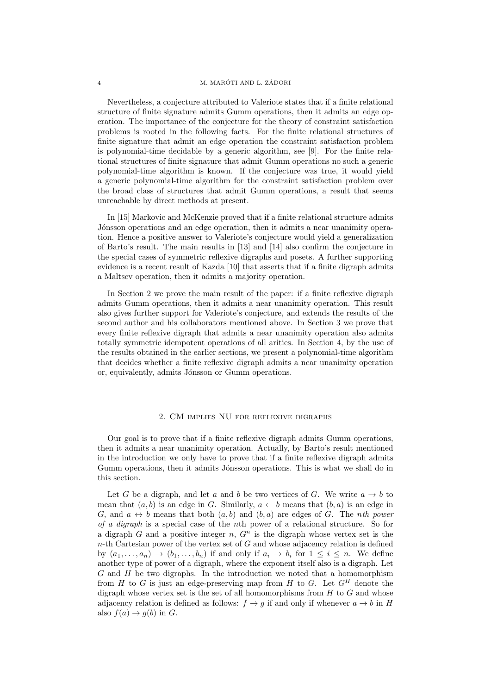Nevertheless, a conjecture attributed to Valeriote states that if a finite relational structure of finite signature admits Gumm operations, then it admits an edge operation. The importance of the conjecture for the theory of constraint satisfaction problems is rooted in the following facts. For the finite relational structures of finite signature that admit an edge operation the constraint satisfaction problem is polynomial-time decidable by a generic algorithm, see [9]. For the finite relational structures of finite signature that admit Gumm operations no such a generic polynomial-time algorithm is known. If the conjecture was true, it would yield a generic polynomial-time algorithm for the constraint satisfaction problem over the broad class of structures that admit Gumm operations, a result that seems unreachable by direct methods at present.

In [15] Markovic and McKenzie proved that if a finite relational structure admits Jónsson operations and an edge operation, then it admits a near unanimity operation. Hence a positive answer to Valeriote's conjecture would yield a generalization of Barto's result. The main results in [13] and [14] also confirm the conjecture in the special cases of symmetric reflexive digraphs and posets. A further supporting evidence is a recent result of Kazda [10] that asserts that if a finite digraph admits a Maltsev operation, then it admits a majority operation.

In Section 2 we prove the main result of the paper: if a finite reflexive digraph admits Gumm operations, then it admits a near unanimity operation. This result also gives further support for Valeriote's conjecture, and extends the results of the second author and his collaborators mentioned above. In Section 3 we prove that every finite reflexive digraph that admits a near unanimity operation also admits totally symmetric idempotent operations of all arities. In Section 4, by the use of the results obtained in the earlier sections, we present a polynomial-time algorithm that decides whether a finite reflexive digraph admits a near unanimity operation or, equivalently, admits Jónsson or Gumm operations.

## 2. CM implies NU for reflexive digraphs

Our goal is to prove that if a finite reflexive digraph admits Gumm operations, then it admits a near unanimity operation. Actually, by Barto's result mentioned in the introduction we only have to prove that if a finite reflexive digraph admits Gumm operations, then it admits Jónsson operations. This is what we shall do in this section.

Let G be a digraph, and let a and b be two vertices of G. We write  $a \to b$  to mean that  $(a, b)$  is an edge in G. Similarly,  $a \leftarrow b$  means that  $(b, a)$  is an edge in G, and  $a \leftrightarrow b$  means that both  $(a, b)$  and  $(b, a)$  are edges of G. The nth power of a digraph is a special case of the nth power of a relational structure. So for a digraph G and a positive integer n,  $G<sup>n</sup>$  is the digraph whose vertex set is the  $n$ -th Cartesian power of the vertex set of  $G$  and whose adjacency relation is defined by  $(a_1, \ldots, a_n) \rightarrow (b_1, \ldots, b_n)$  if and only if  $a_i \rightarrow b_i$  for  $1 \leq i \leq n$ . We define another type of power of a digraph, where the exponent itself also is a digraph. Let  $G$  and  $H$  be two digraphs. In the introduction we noted that a homomorphism from  $H$  to  $G$  is just an edge-preserving map from  $H$  to  $G$ . Let  $G^H$  denote the digraph whose vertex set is the set of all homomorphisms from  $H$  to  $G$  and whose adjacency relation is defined as follows:  $f \rightarrow g$  if and only if whenever  $a \rightarrow b$  in H also  $f(a) \rightarrow g(b)$  in G.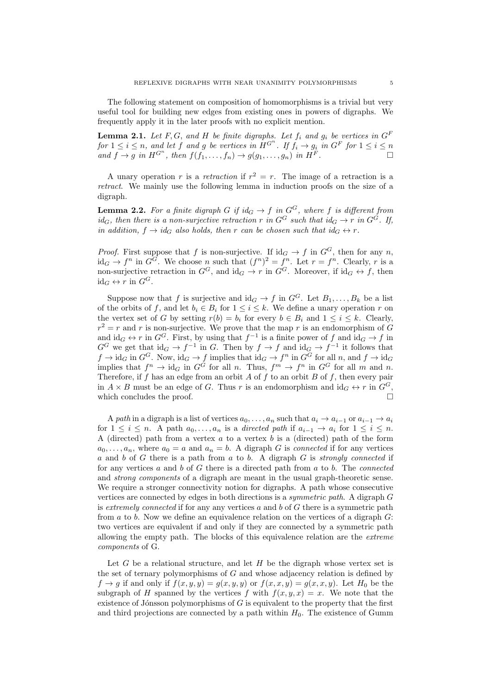The following statement on composition of homomorphisms is a trivial but very useful tool for building new edges from existing ones in powers of digraphs. We frequently apply it in the later proofs with no explicit mention.

**Lemma 2.1.** Let F, G, and H be finite digraphs. Let  $f_i$  and  $g_i$  be vertices in  $G^F$ for  $1 \leq i \leq n$ , and let f and g be vertices in  $H^{G^n}$ . If  $f_i \to g_i$  in  $G^F$  for  $1 \leq i \leq n$ and  $f \to g$  in  $H^{G^n}$ , then  $f(f_1, \ldots, f_n) \to g(g_1, \ldots, g_n)$  in  $H^F$ .

A unary operation r is a retraction if  $r^2 = r$ . The image of a retraction is a retract. We mainly use the following lemma in induction proofs on the size of a digraph.

**Lemma 2.2.** For a finite digraph G if  $id_G \rightarrow f$  in  $G^G$ , where f is different from  $id_G$ , then there is a non-surjective retraction r in  $G^G$  such that  $id_G \rightarrow r$  in  $G^G$ . If, in addition,  $f \rightarrow id_G$  also holds, then r can be chosen such that  $id_G \leftrightarrow r$ .

*Proof.* First suppose that f is non-surjective. If  $\mathrm{id}_G \to f$  in  $G^G$ , then for any n,  $\mathrm{id}_G \to f^n$  in  $G^G$ . We choose n such that  $(f^n)^2 = f^n$ . Let  $r = f^n$ . Clearly, r is a non-surjective retraction in  $G^G$ , and  $\mathrm{id}_G \to r$  in  $G^G$ . Moreover, if  $\mathrm{id}_G \leftrightarrow f$ , then  $id_G \leftrightarrow r$  in  $G^G$ .

Suppose now that f is surjective and  $\mathrm{id}_G \to f$  in  $G^G$ . Let  $B_1, \ldots, B_k$  be a list of the orbits of f, and let  $b_i \in B_i$  for  $1 \leq i \leq k$ . We define a unary operation r on the vertex set of G by setting  $r(b) = b_i$  for every  $b \in B_i$  and  $1 \le i \le k$ . Clearly,  $r^2 = r$  and r is non-surjective. We prove that the map r is an endomorphism of G and  $\mathrm{id}_G \leftrightarrow r$  in  $G^G$ . First, by using that  $f^{-1}$  is a finite power of f and  $\mathrm{id}_G \to f$  in  $G^G$  we get that  $\mathrm{id}_G \to f^{-1}$  in G. Then by  $f \to f$  and  $\mathrm{id}_G \to f^{-1}$  it follows that  $f \to \mathrm{id}_G$  in  $G^G$ . Now,  $\mathrm{id}_G \to f$  implies that  $\mathrm{id}_G \to f^n$  in  $G^G$  for all  $n$ , and  $f \to \mathrm{id}_G$ implies that  $f^n \to \mathrm{id}_G$  in  $G^G$  for all n. Thus,  $f^m \to f^n$  in  $G^G$  for all m and n. Therefore, if  $f$  has an edge from an orbit  $A$  of  $f$  to an orbit  $B$  of  $f$ , then every pair in  $A \times B$  must be an edge of G. Thus r is an endomorphism and  $\mathrm{id}_G \leftrightarrow r$  in  $G^G$ , which concludes the proof.

A path in a digraph is a list of vertices  $a_0, \ldots, a_n$  such that  $a_i \to a_{i-1}$  or  $a_{i-1} \to a_i$ for  $1 \leq i \leq n$ . A path  $a_0, \ldots, a_n$  is a directed path if  $a_{i-1} \to a_i$  for  $1 \leq i \leq n$ . A (directed) path from a vertex  $a$  to a vertex  $b$  is a (directed) path of the form  $a_0, \ldots, a_n$ , where  $a_0 = a$  and  $a_n = b$ . A digraph G is connected if for any vertices  $a$  and  $b$  of  $G$  there is a path from  $a$  to  $b$ . A digraph  $G$  is strongly connected if for any vertices  $a$  and  $b$  of  $G$  there is a directed path from  $a$  to  $b$ . The *connected* and strong components of a digraph are meant in the usual graph-theoretic sense. We require a stronger connectivity notion for digraphs. A path whose consecutive vertices are connected by edges in both directions is a symmetric path. A digraph G is extremely connected if for any any vertices  $a$  and  $b$  of  $G$  there is a symmetric path from  $a$  to  $b$ . Now we define an equivalence relation on the vertices of a digraph  $G$ : two vertices are equivalent if and only if they are connected by a symmetric path allowing the empty path. The blocks of this equivalence relation are the extreme components of G.

Let G be a relational structure, and let  $H$  be the digraph whose vertex set is the set of ternary polymorphisms of  $G$  and whose adjacency relation is defined by  $f \rightarrow g$  if and only if  $f(x, y, y) = g(x, y, y)$  or  $f(x, x, y) = g(x, x, y)$ . Let  $H_0$  be the subgraph of H spanned by the vertices f with  $f(x, y, x) = x$ . We note that the existence of Jónsson polymorphisms of  $G$  is equivalent to the property that the first and third projections are connected by a path within  $H_0$ . The existence of Gumm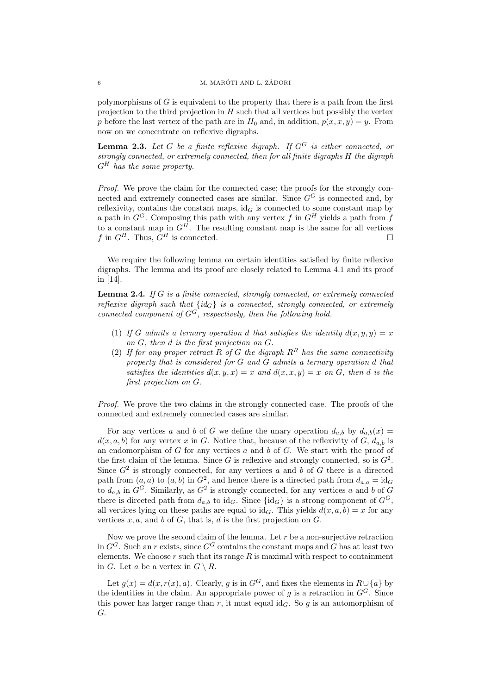polymorphisms of  $G$  is equivalent to the property that there is a path from the first projection to the third projection in  $H$  such that all vertices but possibly the vertex p before the last vertex of the path are in  $H_0$  and, in addition,  $p(x, x, y) = y$ . From now on we concentrate on reflexive digraphs.

**Lemma 2.3.** Let G be a finite reflexive digraph. If  $G^G$  is either connected, or strongly connected, or extremely connected, then for all finite digraphs H the digraph  $G^H$  has the same property.

Proof. We prove the claim for the connected case; the proofs for the strongly connected and extremely connected cases are similar. Since  $G^G$  is connected and, by reflexivity, contains the constant maps,  $id_G$  is connected to some constant map by a path in  $G^G$ . Composing this path with any vertex f in  $G^H$  yields a path from f to a constant map in  $G^H$ . The resulting constant map is the same for all vertices f in  $G^H$ . Thus,  $G^H$  is connected.

We require the following lemma on certain identities satisfied by finite reflexive digraphs. The lemma and its proof are closely related to Lemma 4.1 and its proof in [14].

**Lemma 2.4.** If G is a finite connected, strongly connected, or extremely connected reflexive digraph such that  $\{id_G\}$  is a connected, strongly connected, or extremely connected component of  $G^G$ , respectively, then the following hold.

- (1) If G admits a ternary operation d that satisfies the identity  $d(x, y, y) = x$ on G, then d is the first projection on G.
- (2) If for any proper retract R of G the digraph  $R^R$  has the same connectivity property that is considered for G and G admits a ternary operation d that satisfies the identities  $d(x, y, x) = x$  and  $d(x, x, y) = x$  on G, then d is the first projection on G.

Proof. We prove the two claims in the strongly connected case. The proofs of the connected and extremely connected cases are similar.

For any vertices a and b of G we define the unary operation  $d_{a,b}$  by  $d_{a,b}(x) =$  $d(x, a, b)$  for any vertex x in G. Notice that, because of the reflexivity of G,  $d_{a,b}$  is an endomorphism of  $G$  for any vertices  $a$  and  $b$  of  $G$ . We start with the proof of the first claim of the lemma. Since G is reflexive and strongly connected, so is  $G^2$ . Since  $G^2$  is strongly connected, for any vertices a and b of G there is a directed path from  $(a, a)$  to  $(a, b)$  in  $G^2$ , and hence there is a directed path from  $d_{a,a} = id_G$ to  $d_{a,b}$  in  $G^G$ . Similarly, as  $G^2$  is strongly connected, for any vertices a and b of G there is directed path from  $d_{a,b}$  to id<sub>G</sub>. Since  $\{\mathrm{id}_G\}$  is a strong component of  $G^G$ . all vertices lying on these paths are equal to id<sub>G</sub>. This yields  $d(x, a, b) = x$  for any vertices  $x, a$ , and  $b$  of  $G$ , that is,  $d$  is the first projection on  $G$ .

Now we prove the second claim of the lemma. Let  $r$  be a non-surjective retraction in  $G^G$ . Such an r exists, since  $G^G$  contains the constant maps and G has at least two elements. We choose  $r$  such that its range  $R$  is maximal with respect to containment in G. Let a be a vertex in  $G \setminus R$ .

Let  $g(x) = d(x, r(x), a)$ . Clearly, g is in  $G<sup>G</sup>$ , and fixes the elements in  $R \cup \{a\}$  by the identities in the claim. An appropriate power of g is a retraction in  $G<sup>G</sup>$ . Since this power has larger range than r, it must equal  $id_G$ . So g is an automorphism of G.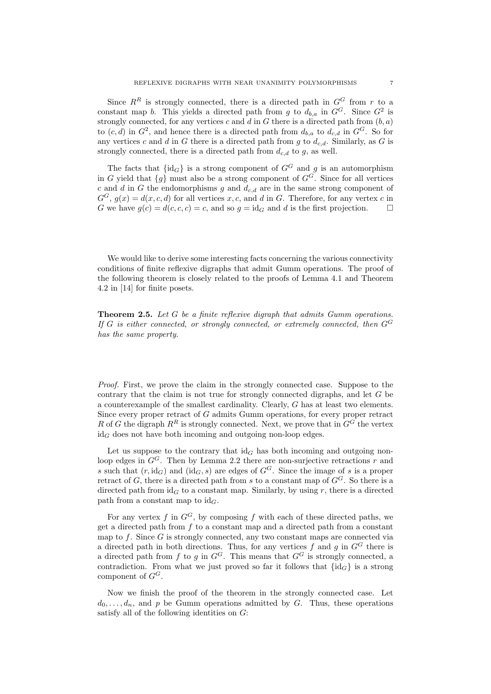Since  $R^R$  is strongly connected, there is a directed path in  $G^G$  from r to a constant map b. This yields a directed path from g to  $d_{b,a}$  in  $G^G$ . Since  $G^2$  is strongly connected, for any vertices c and d in G there is a directed path from  $(b, a)$ to  $(c,d)$  in  $G^2$ , and hence there is a directed path from  $d_{b,a}$  to  $d_{c,d}$  in  $G^G$ . So for any vertices c and d in G there is a directed path from q to  $d_{c,d}$ . Similarly, as G is strongly connected, there is a directed path from  $d_{c,d}$  to g, as well.

The facts that  $\{id_G\}$  is a strong component of  $G^G$  and g is an automorphism in G yield that  $\{g\}$  must also be a strong component of  $G^G$ . Since for all vertices c and d in G the endomorphisms g and  $d_{c,d}$  are in the same strong component of  $G^G$ ,  $g(x) = d(x, c, d)$  for all vertices x, c, and d in G. Therefore, for any vertex c in G we have  $g(c) = d(c, c, c) = c$ , and so  $g = id_G$  and d is the first projection.

We would like to derive some interesting facts concerning the various connectivity conditions of finite reflexive digraphs that admit Gumm operations. The proof of the following theorem is closely related to the proofs of Lemma 4.1 and Theorem 4.2 in [14] for finite posets.

**Theorem 2.5.** Let G be a finite reflexive digraph that admits Gumm operations. If G is either connected, or strongly connected, or extremely connected, then  $G^G$ has the same property.

Proof. First, we prove the claim in the strongly connected case. Suppose to the contrary that the claim is not true for strongly connected digraphs, and let G be a counterexample of the smallest cardinality. Clearly, G has at least two elements. Since every proper retract of G admits Gumm operations, for every proper retract R of G the digraph  $R^R$  is strongly connected. Next, we prove that in  $G^G$  the vertex  $id_G$  does not have both incoming and outgoing non-loop edges.

Let us suppose to the contrary that  $\mathrm{id}_G$  has both incoming and outgoing nonloop edges in  $G<sup>G</sup>$ . Then by Lemma 2.2 there are non-surjective retractions r and s such that  $(r, \text{id}_G)$  and  $(\text{id}_G, s)$  are edges of  $G^G$ . Since the image of s is a proper retract of G, there is a directed path from s to a constant map of  $G^G$ . So there is a directed path from  $id_G$  to a constant map. Similarly, by using r, there is a directed path from a constant map to  $id_G$ .

For any vertex f in  $G^G$ , by composing f with each of these directed paths, we get a directed path from  $f$  to a constant map and a directed path from a constant map to  $f$ . Since  $G$  is strongly connected, any two constant maps are connected via a directed path in both directions. Thus, for any vertices  $f$  and  $g$  in  $G^G$  there is a directed path from f to g in  $G^G$ . This means that  $G^G$  is strongly connected, a contradiction. From what we just proved so far it follows that  $\{id_G\}$  is a strong component of  $G^G$ .

Now we finish the proof of the theorem in the strongly connected case. Let  $d_0, \ldots, d_n$ , and p be Gumm operations admitted by G. Thus, these operations satisfy all of the following identities on G: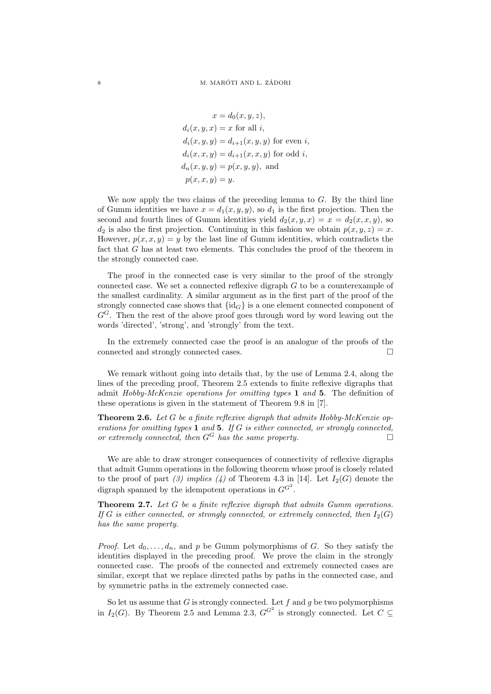$x = d_0(x, y, z),$  $d_i(x, y, x) = x$  for all i,  $d_i(x, y, y) = d_{i+1}(x, y, y)$  for even i,  $d_i(x, x, y) = d_{i+1}(x, x, y)$  for odd i,  $d_n(x, y, y) = p(x, y, y)$ , and  $p(x, x, y) = y.$ 

We now apply the two claims of the preceding lemma to  $G$ . By the third line of Gumm identities we have  $x = d_1(x, y, y)$ , so  $d_1$  is the first projection. Then the second and fourth lines of Gumm identities yield  $d_2(x, y, x) = x = d_2(x, x, y)$ , so  $d_2$  is also the first projection. Continuing in this fashion we obtain  $p(x, y, z) = x$ . However,  $p(x, x, y) = y$  by the last line of Gumm identities, which contradicts the fact that G has at least two elements. This concludes the proof of the theorem in the strongly connected case.

The proof in the connected case is very similar to the proof of the strongly connected case. We set a connected reflexive digraph G to be a counterexample of the smallest cardinality. A similar argument as in the first part of the proof of the strongly connected case shows that  $\{id_G\}$  is a one element connected component of  $G<sup>G</sup>$ . Then the rest of the above proof goes through word by word leaving out the words 'directed', 'strong', and 'strongly' from the text.

In the extremely connected case the proof is an analogue of the proofs of the connected and strongly connected cases.  $\qquad \qquad \Box$ 

We remark without going into details that, by the use of Lemma 2.4, along the lines of the preceding proof, Theorem 2.5 extends to finite reflexive digraphs that admit Hobby-McKenzie operations for omitting types 1 and 5. The definition of these operations is given in the statement of Theorem 9.8 in [7].

**Theorem 2.6.** Let G be a finite reflexive digraph that admits  $Hobby-McKenzie$  operations for omitting types  $1$  and  $5$ . If G is either connected, or strongly connected, or extremely connected, then  $G^G$  has the same property.

We are able to draw stronger consequences of connectivity of reflexive digraphs that admit Gumm operations in the following theorem whose proof is closely related to the proof of part (3) implies (4) of Theorem 4.3 in [14]. Let  $I_2(G)$  denote the digraph spanned by the idempotent operations in  $G^{G^2}$ .

Theorem 2.7. Let G be a finite reflexive digraph that admits Gumm operations. If G is either connected, or strongly connected, or extremely connected, then  $I_2(G)$ has the same property.

*Proof.* Let  $d_0, \ldots, d_n$ , and p be Gumm polymorphisms of G. So they satisfy the identities displayed in the preceding proof. We prove the claim in the strongly connected case. The proofs of the connected and extremely connected cases are similar, except that we replace directed paths by paths in the connected case, and by symmetric paths in the extremely connected case.

So let us assume that  $G$  is strongly connected. Let  $f$  and  $g$  be two polymorphisms in  $I_2(G)$ . By Theorem 2.5 and Lemma 2.3,  $G^{G^2}$  is strongly connected. Let  $C \subseteq$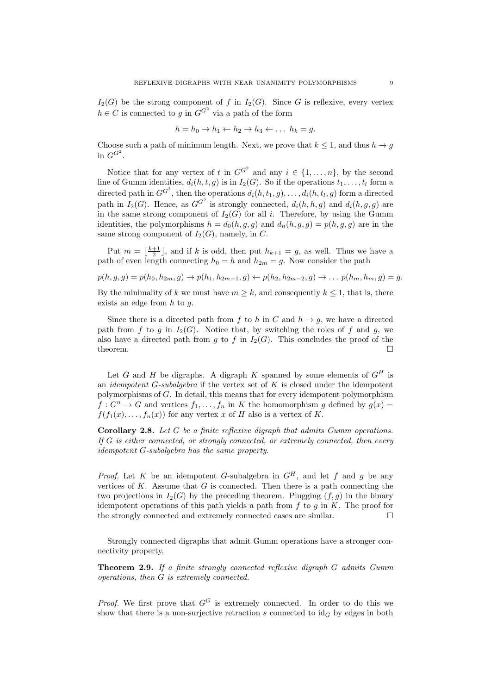$I_2(G)$  be the strong component of f in  $I_2(G)$ . Since G is reflexive, every vertex  $h \in C$  is connected to g in  $G^{G^2}$  via a path of the form

$$
h = h_0 \to h_1 \leftarrow h_2 \to h_3 \leftarrow \dots h_k = g.
$$

Choose such a path of minimum length. Next, we prove that  $k \leq 1$ , and thus  $h \to g$ in  $G^{G^2}$ .

Notice that for any vertex of t in  $G^{G^2}$  and any  $i \in \{1, ..., n\}$ , by the second line of Gumm identities,  $d_i(h, t, g)$  is in  $I_2(G)$ . So if the operations  $t_1, \ldots, t_l$  form a directed path in  $G^{G^2}$ , then the operations  $d_i(h, t_1, g), \ldots, d_i(h, t_l, g)$  form a directed path in  $I_2(G)$ . Hence, as  $G^{G^2}$  is strongly connected,  $d_i(h, h, g)$  and  $d_i(h, g, g)$  are in the same strong component of  $I_2(G)$  for all i. Therefore, by using the Gumm identities, the polymorphisms  $h = d_0(h, g, g)$  and  $d_n(h, g, g) = p(h, g, g)$  are in the same strong component of  $I_2(G)$ , namely, in C.

Put  $m = \lfloor \frac{k+1}{2} \rfloor$ , and if k is odd, then put  $h_{k+1} = g$ , as well. Thus we have a path of even length connecting  $h_0 = h$  and  $h_{2m} = q$ . Now consider the path

$$
p(h,g,g) = p(h_0,h_{2m},g) \rightarrow p(h_1,h_{2m-1},g) \leftarrow p(h_2,h_{2m-2},g) \rightarrow \dots p(h_m,h_m,g) = g.
$$

By the minimality of k we must have  $m \geq k$ , and consequently  $k \leq 1$ , that is, there exists an edge from  $h$  to  $q$ .

Since there is a directed path from f to h in C and  $h \to g$ , we have a directed path from f to g in  $I_2(G)$ . Notice that, by switching the roles of f and g, we also have a directed path from g to f in  $I_2(G)$ . This concludes the proof of the theorem.  $\Box$ 

Let G and H be digraphs. A digraph K spanned by some elements of  $G^H$  is an *idempotent G-subalgebra* if the vertex set of  $K$  is closed under the idempotent polymorphisms of G. In detail, this means that for every idempotent polymorphism  $f: G^n \to G$  and vertices  $f_1, \ldots, f_n$  in K the homomorphism g defined by  $g(x) =$  $f(f_1(x), \ldots, f_n(x))$  for any vertex x of H also is a vertex of K.

Corollary 2.8. Let G be a finite reflexive digraph that admits Gumm operations. If G is either connected, or strongly connected, or extremely connected, then every idempotent G-subalgebra has the same property.

*Proof.* Let K be an idempotent G-subalgebra in  $G^H$ , and let f and g be any vertices of  $K$ . Assume that  $G$  is connected. Then there is a path connecting the two projections in  $I_2(G)$  by the preceding theorem. Plugging  $(f, g)$  in the binary idempotent operations of this path yields a path from  $f$  to  $g$  in  $K$ . The proof for the strongly connected and extremely connected cases are similar.

Strongly connected digraphs that admit Gumm operations have a stronger connectivity property.

Theorem 2.9. If a finite strongly connected reflexive digraph G admits Gumm operations, then G is extremely connected.

*Proof.* We first prove that  $G^G$  is extremely connected. In order to do this we show that there is a non-surjective retraction s connected to  $\mathrm{id}_G$  by edges in both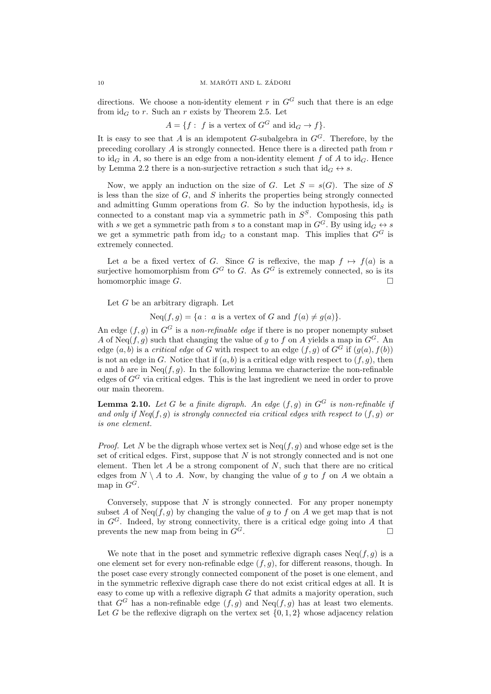directions. We choose a non-identity element r in  $G<sup>G</sup>$  such that there is an edge from  $id_G$  to r. Such an r exists by Theorem 2.5. Let

 $A = \{f : f \text{ is a vertex of } G^G \text{ and } id_G \to f\}.$ 

It is easy to see that A is an idempotent G-subalgebra in  $G<sup>G</sup>$ . Therefore, by the preceding corollary A is strongly connected. Hence there is a directed path from r to  $\mathrm{id}_{G}$  in A, so there is an edge from a non-identity element f of A to  $\mathrm{id}_{G}$ . Hence by Lemma 2.2 there is a non-surjective retraction s such that  $\mathrm{id}_G \leftrightarrow s$ .

Now, we apply an induction on the size of G. Let  $S = s(G)$ . The size of S is less than the size of  $G$ , and  $S$  inherits the properties being strongly connected and admitting Gumm operations from G. So by the induction hypothesis,  $id_S$  is connected to a constant map via a symmetric path in  $S<sup>S</sup>$ . Composing this path with s we get a symmetric path from s to a constant map in  $G^G$ . By using  $id_G \leftrightarrow s$ we get a symmetric path from  $\mathrm{id}_G$  to a constant map. This implies that  $G^G$  is extremely connected.

Let a be a fixed vertex of G. Since G is reflexive, the map  $f \mapsto f(a)$  is a surjective homomorphism from  $G^G$  to G. As  $G^G$  is extremely connected, so is its homomorphic image  $G$ .

Let  $G$  be an arbitrary digraph. Let

 $Neq(f, g) = \{a : a \text{ is a vertex of } G \text{ and } f(a) \neq g(a)\}.$ 

An edge  $(f, q)$  in  $G^G$  is a non-refinable edge if there is no proper nonempty subset A of Neq(f, g) such that changing the value of g to f on A yields a map in  $G^G$ . An edge  $(a, b)$  is a *critical edge* of G with respect to an edge  $(f, g)$  of  $G^G$  if  $(g(a), f(b))$ is not an edge in G. Notice that if  $(a, b)$  is a critical edge with respect to  $(f, q)$ , then a and b are in  $Neq(f, g)$ . In the following lemma we characterize the non-refinable edges of  $G<sup>G</sup>$  via critical edges. This is the last ingredient we need in order to prove our main theorem.

**Lemma 2.10.** Let G be a finite digraph. An edge  $(f, g)$  in  $G^G$  is non-refinable if and only if  $Neg(f, g)$  is strongly connected via critical edges with respect to  $(f, g)$  or is one element.

*Proof.* Let N be the digraph whose vertex set is  $N_{eq}(f, g)$  and whose edge set is the set of critical edges. First, suppose that  $N$  is not strongly connected and is not one element. Then let  $A$  be a strong component of  $N$ , such that there are no critical edges from  $N \setminus A$  to A. Now, by changing the value of g to f on A we obtain a map in  $G^G$ .

Conversely, suppose that  $N$  is strongly connected. For any proper nonempty subset A of Neq(f, g) by changing the value of g to f on A we get map that is not in  $G^G$ . Indeed, by strong connectivity, there is a critical edge going into A that prevents the new map from being in  $G^G$ .

We note that in the poset and symmetric reflexive digraph cases  $Neq(f, g)$  is a one element set for every non-refinable edge  $(f, g)$ , for different reasons, though. In the poset case every strongly connected component of the poset is one element, and in the symmetric reflexive digraph case there do not exist critical edges at all. It is easy to come up with a reflexive digraph  $G$  that admits a majority operation, such that  $G^G$  has a non-refinable edge  $(f, g)$  and  $Neq(f, g)$  has at least two elements. Let G be the reflexive digraph on the vertex set  $\{0, 1, 2\}$  whose adjacency relation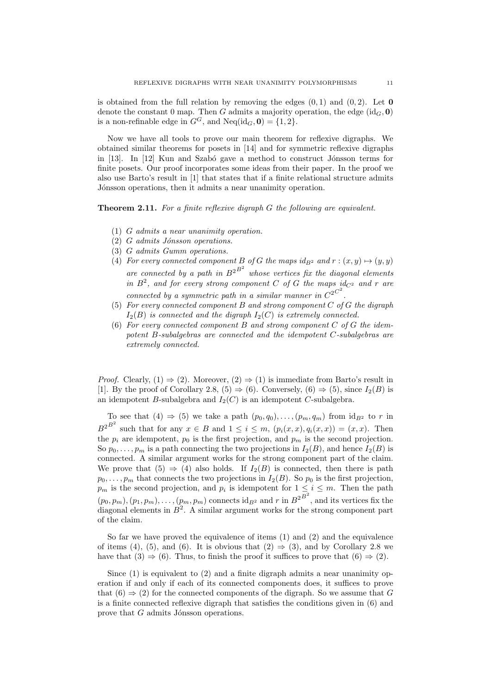is obtained from the full relation by removing the edges  $(0, 1)$  and  $(0, 2)$ . Let **0** denote the constant 0 map. Then G admits a majority operation, the edge  $(id_G, 0)$ is a non-refinable edge in  $G^G$ , and  $Neq(id_G, 0) = \{1, 2\}.$ 

Now we have all tools to prove our main theorem for reflexive digraphs. We obtained similar theorems for posets in [14] and for symmetric reflexive digraphs in  $[13]$ . In  $[12]$  Kun and Szabó gave a method to construct Jónsson terms for finite posets. Our proof incorporates some ideas from their paper. In the proof we also use Barto's result in [1] that states that if a finite relational structure admits Jónsson operations, then it admits a near unanimity operation.

Theorem 2.11. For a finite reflexive digraph G the following are equivalent.

- (1) G admits a near unanimity operation.
- $(2)$  G admits Jónsson operations.
- (3) G admits Gumm operations.
- (4) For every connected component B of G the maps  $id_{B^2}$  and  $r : (x, y) \mapsto (y, y)$ are connected by a path in  $B^{2^{B^2}}$  whose vertices fix the diagonal elements in  $B^2$ , and for every strong component C of G the maps  $id_{C^2}$  and r are connected by a symmetric path in a similar manner in  $C^{2C^2}$ .
- (5) For every connected component B and strong component  $C$  of  $G$  the digraph  $I_2(B)$  is connected and the digraph  $I_2(C)$  is extremely connected.
- (6) For every connected component  $B$  and strong component  $C$  of  $G$  the idempotent B-subalgebras are connected and the idempotent C-subalgebras are extremely connected.

*Proof.* Clearly,  $(1) \Rightarrow (2)$ . Moreover,  $(2) \Rightarrow (1)$  is immediate from Barto's result in [1]. By the proof of Corollary 2.8, (5)  $\Rightarrow$  (6). Conversely, (6)  $\Rightarrow$  (5), since  $I_2(B)$  is an idempotent B-subalgebra and  $I_2(C)$  is an idempotent C-subalgebra.

To see that (4)  $\Rightarrow$  (5) we take a path  $(p_0, q_0), \ldots, (p_m, q_m)$  from  $id_{B^2}$  to r in  $B^{2^{B^2}}$  such that for any  $x \in B$  and  $1 \leq i \leq m$ ,  $(p_i(x, x), q_i(x, x)) = (x, x)$ . Then the  $p_i$  are idempotent,  $p_0$  is the first projection, and  $p_m$  is the second projection. So  $p_0, \ldots, p_m$  is a path connecting the two projections in  $I_2(B)$ , and hence  $I_2(B)$  is connected. A similar argument works for the strong component part of the claim. We prove that  $(5) \Rightarrow (4)$  also holds. If  $I_2(B)$  is connected, then there is path  $p_0, \ldots, p_m$  that connects the two projections in  $I_2(B)$ . So  $p_0$  is the first projection,  $p_m$  is the second projection, and  $p_i$  is idempotent for  $1 \leq i \leq m$ . Then the path  $(p_0, p_m), (p_1, p_m), \ldots, (p_m, p_m)$  connects  $\mathrm{id}_{B^2}$  and r in  $B^{2^{B^2}}$ , and its vertices fix the diagonal elements in  $B^2$ . A similar argument works for the strong component part of the claim.

So far we have proved the equivalence of items (1) and (2) and the equivalence of items (4), (5), and (6). It is obvious that  $(2) \Rightarrow (3)$ , and by Corollary 2.8 we have that  $(3) \Rightarrow (6)$ . Thus, to finish the proof it suffices to prove that  $(6) \Rightarrow (2)$ .

Since  $(1)$  is equivalent to  $(2)$  and a finite digraph admits a near unanimity operation if and only if each of its connected components does, it suffices to prove that  $(6) \Rightarrow (2)$  for the connected components of the digraph. So we assume that G is a finite connected reflexive digraph that satisfies the conditions given in (6) and prove that  $G$  admits Jónsson operations.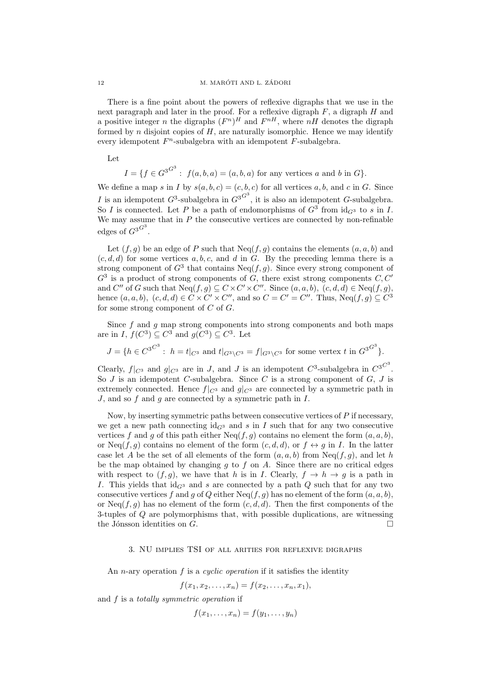There is a fine point about the powers of reflexive digraphs that we use in the next paragraph and later in the proof. For a reflexive digraph  $F$ , a digraph  $H$  and a positive integer *n* the digraphs  $(F^n)^H$  and  $F^{nH}$ , where  $nH$  denotes the digraph formed by n disjoint copies of  $H$ , are naturally isomorphic. Hence we may identify every idempotent  $F<sup>n</sup>$ -subalgebra with an idempotent  $F$ -subalgebra.

Let

$$
I = \{ f \in G^{3^{G^3}} : f(a, b, a) = (a, b, a) \text{ for any vertices } a \text{ and } b \text{ in } G \}.
$$

We define a map s in I by  $s(a, b, c) = (c, b, c)$  for all vertices a, b, and c in G. Since I is an idempotent  $G^3$ -subalgebra in  $G^{3}G^3$ , it is also an idempotent G-subalgebra. So I is connected. Let P be a path of endomorphisms of  $G^3$  from  $\mathrm{id}_{G^3}$  to s in I. We may assume that in  $P$  the consecutive vertices are connected by non-refinable edges of  $G^{3G^3}$ .

Let  $(f, g)$  be an edge of P such that  $Neq(f, g)$  contains the elements  $(a, a, b)$  and  $(c, d, d)$  for some vertices a, b, c, and d in G. By the preceding lemma there is a strong component of  $G^3$  that contains  $Neq(f,g)$ . Since every strong component of  $G<sup>3</sup>$  is a product of strong components of G, there exist strong components  $C, C'$ and C'' of G such that  $Neq(f,g) \subseteq C \times C' \times C''$ . Since  $(a, a, b)$ ,  $(c, d, d) \in Neq(f, g)$ , hence  $(a, a, b)$ ,  $(c, d, d) \in C \times C' \times C''$ , and so  $C = C' = C''$ . Thus,  $Neq(f, g) \subseteq C^3$ for some strong component of C of G.

Since  $f$  and  $g$  map strong components into strong components and both maps are in I,  $f(C^3) \subseteq C^3$  and  $g(C^3) \subseteq C^3$ . Let

$$
J = \{ h \in C^{3^{C^3}} : h = t|_{C^3} \text{ and } t|_{G^3 \setminus C^3} = f|_{G^3 \setminus C^3} \text{ for some vertex } t \text{ in } G^{3^{C^3}} \}.
$$

Clearly,  $f|_{C^3}$  and  $g|_{C^3}$  are in J, and J is an idempotent  $C^3$ -subalgebra in  $C^{3^C}$ . So  $J$  is an idempotent  $C$ -subalgebra. Since  $C$  is a strong component of  $G, J$  is extremely connected. Hence  $f|_{C^3}$  and  $g|_{C^3}$  are connected by a symmetric path in  $J$ , and so  $f$  and  $g$  are connected by a symmetric path in  $I$ .

Now, by inserting symmetric paths between consecutive vertices of P if necessary, we get a new path connecting  $id_{G3}$  and s in I such that for any two consecutive vertices f and g of this path either  $Neq(f, g)$  contains no element the form  $(a, a, b)$ , or Neq(f, g) contains no element of the form  $(c, d, d)$ , or  $f \leftrightarrow g$  in I. In the latter case let A be the set of all elements of the form  $(a, a, b)$  from  $Neq(f, g)$ , and let h be the map obtained by changing q to f on A. Since there are no critical edges with respect to  $(f, g)$ , we have that h is in I. Clearly,  $f \to h \to g$  is a path in I. This yields that  $id_{G^3}$  and s are connected by a path Q such that for any two consecutive vertices f and g of Q either Neq(f, g) has no element of the form  $(a, a, b)$ , or Neq(f, g) has no element of the form  $(c, d, d)$ . Then the first components of the 3-tuples of Q are polymorphisms that, with possible duplications, are witnessing the Jónsson identities on  $G$ .

# 3. NU implies TSI of all arities for reflexive digraphs

An *n*-ary operation  $f$  is a *cyclic operation* if it satisfies the identity

$$
f(x_1, x_2, \ldots, x_n) = f(x_2, \ldots, x_n, x_1),
$$

and  $f$  is a totally symmetric operation if

 $f(x_1, \ldots, x_n) = f(y_1, \ldots, y_n)$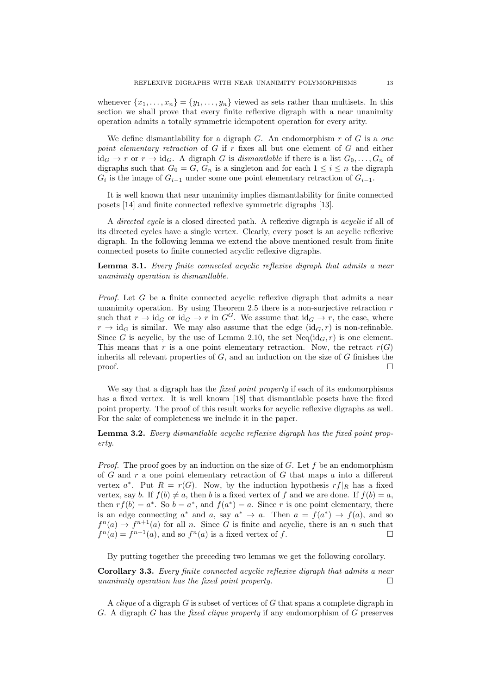whenever  $\{x_1, \ldots, x_n\} = \{y_1, \ldots, y_n\}$  viewed as sets rather than multisets. In this section we shall prove that every finite reflexive digraph with a near unanimity operation admits a totally symmetric idempotent operation for every arity.

We define dismantlability for a digraph  $G$ . An endomorphism  $r$  of  $G$  is a one point elementary retraction of  $G$  if  $r$  fixes all but one element of  $G$  and either  $id_G \to r$  or  $r \to id_G$ . A digraph G is dismantlable if there is a list  $G_0, \ldots, G_n$  of digraphs such that  $G_0 = G$ ,  $G_n$  is a singleton and for each  $1 \leq i \leq n$  the digraph  $G_i$  is the image of  $G_{i-1}$  under some one point elementary retraction of  $G_{i-1}$ .

It is well known that near unanimity implies dismantlability for finite connected posets [14] and finite connected reflexive symmetric digraphs [13].

A directed cycle is a closed directed path. A reflexive digraph is acyclic if all of its directed cycles have a single vertex. Clearly, every poset is an acyclic reflexive digraph. In the following lemma we extend the above mentioned result from finite connected posets to finite connected acyclic reflexive digraphs.

Lemma 3.1. Every finite connected acyclic reflexive digraph that admits a near unanimity operation is dismantlable.

*Proof.* Let  $G$  be a finite connected acyclic reflexive digraph that admits a near unanimity operation. By using Theorem 2.5 there is a non-surjective retraction  $r$ such that  $r \to id_G$  or  $id_G \to r$  in  $G^G$ . We assume that  $id_G \to r$ , the case, where  $r \to \text{id}_G$  is similar. We may also assume that the edge  $(\text{id}_G, r)$  is non-refinable. Since G is acyclic, by the use of Lemma 2.10, the set  $Neq(id_G, r)$  is one element. This means that r is a one point elementary retraction. Now, the retract  $r(G)$ inherits all relevant properties of  $G$ , and an induction on the size of  $G$  finishes the  $\Box$ 

We say that a digraph has the *fixed point property* if each of its endomorphisms has a fixed vertex. It is well known [18] that dismantlable posets have the fixed point property. The proof of this result works for acyclic reflexive digraphs as well. For the sake of completeness we include it in the paper.

Lemma 3.2. Every dismantlable acyclic reflexive digraph has the fixed point property.

*Proof.* The proof goes by an induction on the size of G. Let f be an endomorphism of G and  $r$  a one point elementary retraction of G that maps  $a$  into a different vertex  $a^*$ . Put  $R = r(G)$ . Now, by the induction hypothesis  $rf|_R$  has a fixed vertex, say b. If  $f(b) \neq a$ , then b is a fixed vertex of f and we are done. If  $f(b) = a$ , then  $rf(b) = a^*$ . So  $b = a^*$ , and  $f(a^*) = a$ . Since r is one point elementary, there is an edge connecting  $a^*$  and  $a$ , say  $a^* \to a$ . Then  $a = f(a^*) \to f(a)$ , and so  $f^{n}(a) \to f^{n+1}(a)$  for all n. Since G is finite and acyclic, there is an n such that  $f^{n}(a) = f^{n+1}(a)$ , and so  $f^{n}(a)$  is a fixed vertex of f.

By putting together the preceding two lemmas we get the following corollary.

Corollary 3.3. Every finite connected acyclic reflexive digraph that admits a near unanimity operation has the fixed point property.  $\Box$ 

A *clique* of a digraph G is subset of vertices of G that spans a complete digraph in G. A digraph G has the fixed clique property if any endomorphism of  $G$  preserves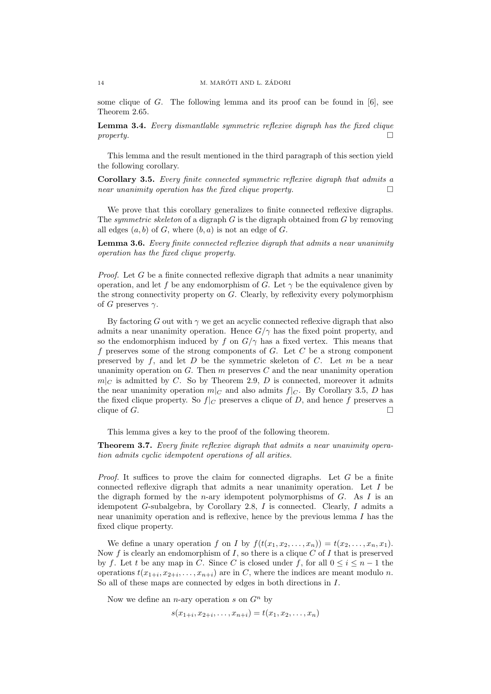some clique of G. The following lemma and its proof can be found in  $[6]$ , see Theorem 2.65.

Lemma 3.4. Every dismantlable symmetric reflexive digraph has the fixed clique  $property.$ 

This lemma and the result mentioned in the third paragraph of this section yield the following corollary.

Corollary 3.5. Every finite connected symmetric reflexive digraph that admits a near unanimity operation has the fixed clique property.  $\Box$ 

We prove that this corollary generalizes to finite connected reflexive digraphs. The symmetric skeleton of a digraph  $G$  is the digraph obtained from  $G$  by removing all edges  $(a, b)$  of G, where  $(b, a)$  is not an edge of G.

Lemma 3.6. Every finite connected reflexive digraph that admits a near unanimity operation has the fixed clique property.

*Proof.* Let G be a finite connected reflexive digraph that admits a near unanimity operation, and let f be any endomorphism of G. Let  $\gamma$  be the equivalence given by the strong connectivity property on  $G$ . Clearly, by reflexivity every polymorphism of G preserves  $\gamma$ .

By factoring G out with  $\gamma$  we get an acyclic connected reflexive digraph that also admits a near unanimity operation. Hence  $G/\gamma$  has the fixed point property, and so the endomorphism induced by f on  $G/\gamma$  has a fixed vertex. This means that f preserves some of the strong components of  $G$ . Let  $C$  be a strong component preserved by  $f$ , and let  $D$  be the symmetric skeleton of  $C$ . Let  $m$  be a near unanimity operation on  $G$ . Then  $m$  preserves  $C$  and the near unanimity operation  $m|_C$  is admitted by C. So by Theorem 2.9, D is connected, moreover it admits the near unanimity operation  $m|_C$  and also admits  $f|_C$ . By Corollary 3.5, D has the fixed clique property. So  $f|_C$  preserves a clique of D, and hence f preserves a clique of  $G$ .

This lemma gives a key to the proof of the following theorem.

Theorem 3.7. Every finite reflexive digraph that admits a near unanimity operation admits cyclic idempotent operations of all arities.

*Proof.* It suffices to prove the claim for connected digraphs. Let  $G$  be a finite connected reflexive digraph that admits a near unanimity operation. Let I be the digraph formed by the *n*-ary idempotent polymorphisms of  $G$ . As  $I$  is an idempotent G-subalgebra, by Corollary 2.8, I is connected. Clearly, I admits a near unanimity operation and is reflexive, hence by the previous lemma  $I$  has the fixed clique property.

We define a unary operation f on I by  $f(t(x_1, x_2, \ldots, x_n)) = t(x_2, \ldots, x_n, x_1)$ . Now f is clearly an endomorphism of I, so there is a clique  $C$  of I that is preserved by f. Let t be any map in C. Since C is closed under f, for all  $0 \le i \le n-1$  the operations  $t(x_{1+i}, x_{2+i}, \ldots, x_{n+i})$  are in C, where the indices are meant modulo n. So all of these maps are connected by edges in both directions in I.

Now we define an *n*-ary operation s on  $G<sup>n</sup>$  by

 $s(x_{1+i}, x_{2+i}, \ldots, x_{n+i}) = t(x_1, x_2, \ldots, x_n)$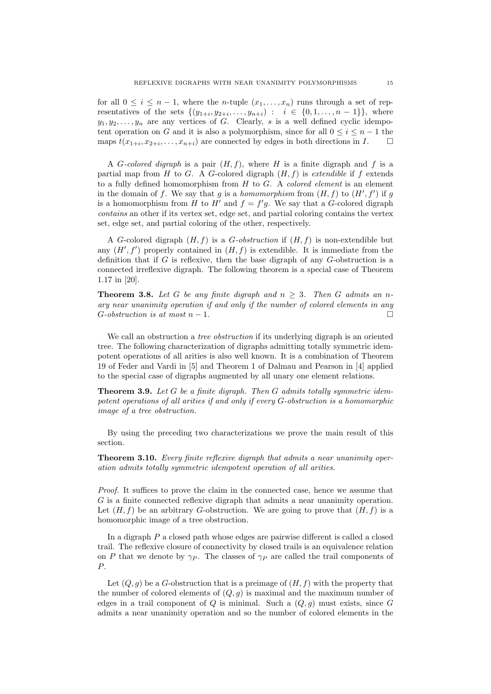for all  $0 \leq i \leq n-1$ , where the *n*-tuple  $(x_1, \ldots, x_n)$  runs through a set of representatives of the sets  $\{(y_{1+i}, y_{2+i}, \ldots, y_{n+i}) : i \in \{0, 1, \ldots, n-1\}\},\$  where  $y_1, y_2, \ldots, y_n$  are any vertices of G. Clearly, s is a well defined cyclic idempotent operation on G and it is also a polymorphism, since for all  $0 \leq i \leq n-1$  the maps  $t(x_{1+i}, x_{2+i}, \ldots, x_{n+i})$  are connected by edges in both directions in  $I$ .

A G-colored digraph is a pair  $(H, f)$ , where H is a finite digraph and f is a partial map from  $H$  to  $G$ . A  $G$ -colored digraph  $(H, f)$  is *extendible* if  $f$  extends to a fully defined homomorphism from  $H$  to  $G$ . A *colored element* is an element in the domain of f. We say that g is a homomorphism from  $(H, f)$  to  $(H', f')$  if g is a homomorphism from H to H' and  $f = f'g$ . We say that a G-colored digraph contains an other if its vertex set, edge set, and partial coloring contains the vertex set, edge set, and partial coloring of the other, respectively.

A G-colored digraph  $(H, f)$  is a G-obstruction if  $(H, f)$  is non-extendible but any  $(H', f')$  properly contained in  $(H, f)$  is extendible. It is immediate from the definition that if  $G$  is reflexive, then the base digraph of any  $G$ -obstruction is a connected irreflexive digraph. The following theorem is a special case of Theorem 1.17 in [20].

**Theorem 3.8.** Let G be any finite digraph and  $n \geq 3$ . Then G admits an nary near unanimity operation if and only if the number of colored elements in any  $G\text{-}obstruction is at most } n-1.$ 

We call an obstruction a *tree obstruction* if its underlying digraph is an oriented tree. The following characterization of digraphs admitting totally symmetric idempotent operations of all arities is also well known. It is a combination of Theorem 19 of Feder and Vardi in [5] and Theorem 1 of Dalmau and Pearson in [4] applied to the special case of digraphs augmented by all unary one element relations.

**Theorem 3.9.** Let  $G$  be a finite digraph. Then  $G$  admits totally symmetric idempotent operations of all arities if and only if every G-obstruction is a homomorphic image of a tree obstruction.

By using the preceding two characterizations we prove the main result of this section.

**Theorem 3.10.** Every finite reflexive digraph that admits a near unanimity operation admits totally symmetric idempotent operation of all arities.

Proof. It suffices to prove the claim in the connected case, hence we assume that G is a finite connected reflexive digraph that admits a near unanimity operation. Let  $(H, f)$  be an arbitrary G-obstruction. We are going to prove that  $(H, f)$  is a homomorphic image of a tree obstruction.

In a digraph  $P$  a closed path whose edges are pairwise different is called a closed trail. The reflexive closure of connectivity by closed trails is an equivalence relation on P that we denote by  $\gamma_P$ . The classes of  $\gamma_P$  are called the trail components of P.

Let  $(Q, g)$  be a G-obstruction that is a preimage of  $(H, f)$  with the property that the number of colored elements of  $(Q, g)$  is maximal and the maximum number of edges in a trail component of Q is minimal. Such a  $(Q, g)$  must exists, since G admits a near unanimity operation and so the number of colored elements in the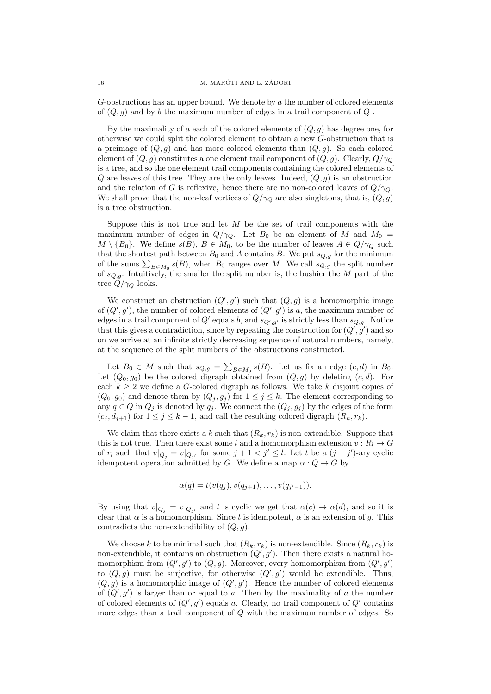G-obstructions has an upper bound. We denote by a the number of colored elements of  $(Q, g)$  and by b the maximum number of edges in a trail component of Q.

By the maximality of a each of the colored elements of  $(Q, g)$  has degree one, for otherwise we could split the colored element to obtain a new G-obstruction that is a preimage of  $(Q, g)$  and has more colored elements than  $(Q, g)$ . So each colored element of  $(Q, g)$  constitutes a one element trail component of  $(Q, g)$ . Clearly,  $Q/\gamma_Q$ is a tree, and so the one element trail components containing the colored elements of  $Q$  are leaves of this tree. They are the only leaves. Indeed,  $(Q, q)$  is an obstruction and the relation of G is reflexive, hence there are no non-colored leaves of  $Q/\gamma_Q$ . We shall prove that the non-leaf vertices of  $Q/\gamma_Q$  are also singletons, that is,  $(Q, g)$ is a tree obstruction.

Suppose this is not true and let  $M$  be the set of trail components with the maximum number of edges in  $Q/\gamma_Q$ . Let  $B_0$  be an element of M and  $M_0 =$  $M \setminus \{B_0\}$ . We define  $s(B), B \in M_0$ , to be the number of leaves  $A \in Q/\gamma_Q$  such that the shortest path between  $B_0$  and A contains B. We put  $s_{Q,g}$  for the minimum of the sums  $\sum_{B \in M_0} s(B)$ , when  $B_0$  ranges over M. We call  $s_{Q,g}$  the split number of  $s_{Q,g}$ . Intuitively, the smaller the split number is, the bushier the M part of the tree  $Q/\gamma_Q$  looks.

We construct an obstruction  $(Q', g')$  such that  $(Q, g)$  is a homomorphic image of  $(Q', g')$ , the number of colored elements of  $(Q', g')$  is a, the maximum number of edges in a trail component of  $Q'$  equals b, and  $s_{Q',g'}$  is strictly less than  $s_{Q,g}$ . Notice that this gives a contradiction, since by repeating the construction for  $(Q', g')$  and so on we arrive at an infinite strictly decreasing sequence of natural numbers, namely, at the sequence of the split numbers of the obstructions constructed.

Let  $B_0 \in M$  such that  $s_{Q,g} = \sum_{B \in M_0} s(B)$ . Let us fix an edge  $(c,d)$  in  $B_0$ . Let  $(Q_0, g_0)$  be the colored digraph obtained from  $(Q, g)$  by deleting  $(c, d)$ . For each  $k \geq 2$  we define a G-colored digraph as follows. We take k disjoint copies of  $(Q_0, g_0)$  and denote them by  $(Q_j, g_j)$  for  $1 \leq j \leq k$ . The element corresponding to any  $q \in Q$  in  $Q_j$  is denoted by  $q_j$ . We connect the  $(Q_j, g_j)$  by the edges of the form  $(c_i, d_{i+1})$  for  $1 \leq j \leq k-1$ , and call the resulting colored digraph  $(R_k, r_k)$ .

We claim that there exists a k such that  $(R_k, r_k)$  is non-extendible. Suppose that this is not true. Then there exist some l and a homomorphism extension  $v : R_l \to G$ of  $r_l$  such that  $v|_{Q_j} = v|_{Q_{j'}}$  for some  $j + 1 < j' \le l$ . Let t be a  $(j - j')$ -ary cyclic idempotent operation admitted by G. We define a map  $\alpha: Q \to G$  by

$$
\alpha(q) = t(v(q_j), v(q_{j+1}), \ldots, v(q_{j'-1})).
$$

By using that  $v|_{Q_j} = v|_{Q_{j'}}$  and t is cyclic we get that  $\alpha(c) \to \alpha(d)$ , and so it is clear that  $\alpha$  is a homomorphism. Since t is idempotent,  $\alpha$  is an extension of g. This contradicts the non-extendibility of  $(Q, g)$ .

We choose k to be minimal such that  $(R_k, r_k)$  is non-extendible. Since  $(R_k, r_k)$  is non-extendible, it contains an obstruction  $(Q', g')$ . Then there exists a natural homomorphism from  $(Q', g')$  to  $(Q, g)$ . Moreover, every homomorphism from  $(Q', g')$ to  $(Q, g)$  must be surjective, for otherwise  $(Q', g')$  would be extendible. Thus,  $(Q, g)$  is a homomorphic image of  $(Q', g')$ . Hence the number of colored elements of  $(Q', g')$  is larger than or equal to a. Then by the maximality of a the number of colored elements of  $(Q', g')$  equals a. Clearly, no trail component of  $Q'$  contains more edges than a trail component of  $Q$  with the maximum number of edges. So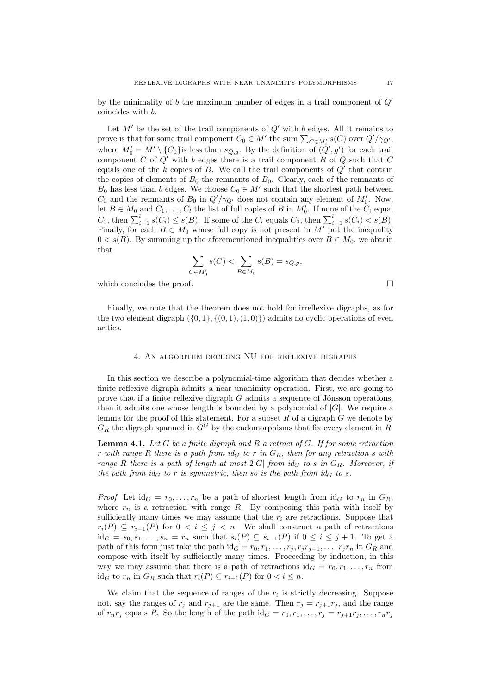by the minimality of b the maximum number of edges in a trail component of  $O'$ coincides with b.

Let  $M'$  be the set of the trail components of  $Q'$  with b edges. All it remains to prove is that for some trail component  $C_0 \in M'$  the sum  $\sum_{C \in M'_0} s(C)$  over  $Q'/\gamma_{Q'}$ , where  $M'_0 = M' \setminus \{C_0\}$  is less than  $s_{Q,g}$ . By the definition of  $(Q', g')$  for each trail component  $C$  of  $Q'$  with b edges there is a trail component  $B$  of  $Q$  such that  $C$ equals one of the  $k$  copies of  $B$ . We call the trail components of  $Q'$  that contain the copies of elements of  $B_0$  the remnants of  $B_0$ . Clearly, each of the remnants of  $B_0$  has less than b edges. We choose  $C_0 \in M'$  such that the shortest path between  $C_0$  and the remnants of  $B_0$  in  $Q'/\gamma_{Q'}$  does not contain any element of  $M'_0$ . Now, let  $B \in M_0$  and  $C_1, \ldots, C_l$  the list of full copies of B in  $M'_0$ . If none of the  $C_i$  equal  $C_0$ , then  $\sum_{i=1}^l s(C_i) \leq s(B)$ . If some of the  $C_i$  equals  $C_0$ , then  $\sum_{i=1}^l s(C_i) < s(B)$ . Finally, for each  $B \in M_0$  whose full copy is not present in  $M'$  put the inequality  $0 < s(B)$ . By summing up the aforementioned inequalities over  $B \in M_0$ , we obtain that

$$
\sum_{C \in M'_0} s(C) < \sum_{B \in M_0} s(B) = s_{Q,g},
$$

which concludes the proof.

Finally, we note that the theorem does not hold for irreflexive digraphs, as for the two element digraph  $(\{0, 1\}, \{(0, 1), (1, 0)\})$  admits no cyclic operations of even arities.

# 4. An algorithm deciding NU for reflexive digraphs

In this section we describe a polynomial-time algorithm that decides whether a finite reflexive digraph admits a near unanimity operation. First, we are going to prove that if a finite reflexive digraph  $G$  admits a sequence of Jónsson operations, then it admits one whose length is bounded by a polynomial of  $|G|$ . We require a lemma for the proof of this statement. For a subset  $R$  of a digraph  $G$  we denote by  $G_R$  the digraph spanned in  $G^G$  by the endomorphisms that fix every element in R.

**Lemma 4.1.** Let G be a finite digraph and R a retract of G. If for some retraction r with range R there is a path from  $id_G$  to r in  $G_R$ , then for any retraction s with range R there is a path of length at most  $2|G|$  from id<sub>G</sub> to s in  $G_R$ . Moreover, if the path from  $id_G$  to r is symmetric, then so is the path from  $id_G$  to s.

*Proof.* Let  $id_G = r_0, \ldots, r_n$  be a path of shortest length from  $id_G$  to  $r_n$  in  $G_R$ , where  $r_n$  is a retraction with range R. By composing this path with itself by sufficiently many times we may assume that the  $r_i$  are retractions. Suppose that  $r_i(P) \subseteq r_{i-1}(P)$  for  $0 < i \leq j < n$ . We shall construct a path of retractions  $id_G = s_0, s_1, \ldots, s_n = r_n$  such that  $s_i(P) \subseteq s_{i-1}(P)$  if  $0 \le i \le j+1$ . To get a path of this form just take the path id<sub>G</sub> =  $r_0, r_1, \ldots, r_j, r_j r_{j+1}, \ldots, r_j r_n$  in  $G_R$  and compose with itself by sufficiently many times. Proceeding by induction, in this way we may assume that there is a path of retractions  $id_G = r_0, r_1, \ldots, r_n$  from id<sub>G</sub> to  $r_n$  in  $G_R$  such that  $r_i(P) \subseteq r_{i-1}(P)$  for  $0 < i \leq n$ .

We claim that the sequence of ranges of the  $r_i$  is strictly decreasing. Suppose not, say the ranges of  $r_i$  and  $r_{i+1}$  are the same. Then  $r_i = r_{i+1}r_i$ , and the range of  $r_n r_j$  equals R. So the length of the path id $G = r_0, r_1, \ldots, r_j = r_{j+1}r_j, \ldots, r_n r_j$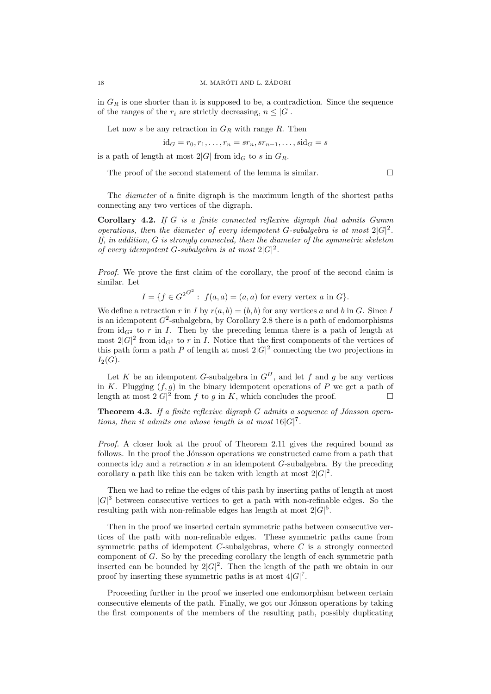in  $G_R$  is one shorter than it is supposed to be, a contradiction. Since the sequence of the ranges of the  $r_i$  are strictly decreasing,  $n \leq |G|$ .

Let now s be any retraction in  $G_R$  with range R. Then

$$
\mathrm{id}_G = r_0, r_1, \dots, r_n = s r_n, s r_{n-1}, \dots, s \mathrm{id}_G = s
$$

is a path of length at most  $2|G|$  from  $id_G$  to s in  $G_R$ .

The proof of the second statement of the lemma is similar.  $\Box$ 

The diameter of a finite digraph is the maximum length of the shortest paths connecting any two vertices of the digraph.

Corollary 4.2. If  $G$  is a finite connected reflexive digraph that admits  $Gumm$ operations, then the diameter of every idempotent G-subalgebra is at most  $2|G|^2$ . If, in addition, G is strongly connected, then the diameter of the symmetric skeleton of every idempotent G-subalgebra is at most  $2|G|^2$ .

Proof. We prove the first claim of the corollary, the proof of the second claim is similar. Let

 $I = \{f \in G^{2^{G^2}} : f(a, a) = (a, a) \text{ for every vertex } a \text{ in } G\}.$ 

We define a retraction r in I by  $r(a, b) = (b, b)$  for any vertices a and b in G. Since I is an idempotent  $G^2$ -subalgebra, by Corollary 2.8 there is a path of endomorphisms from  $id_{G^2}$  to r in I. Then by the preceding lemma there is a path of length at most  $2|G|^2$  from  $id_{G^2}$  to r in I. Notice that the first components of the vertices of this path form a path P of length at most  $2|G|^2$  connecting the two projections in  $I_2(G)$ .

Let K be an idempotent G-subalgebra in  $G<sup>H</sup>$ , and let f and g be any vertices in K. Plugging  $(f, g)$  in the binary idempotent operations of P we get a path of length at most  $2|G|^2$  from f to g in K, which concludes the proof.

**Theorem 4.3.** If a finite reflexive digraph  $G$  admits a sequence of Jónsson operations, then it admits one whose length is at most  $16|G|^7$ .

Proof. A closer look at the proof of Theorem 2.11 gives the required bound as follows. In the proof the Jónsson operations we constructed came from a path that connects  $id_G$  and a retraction s in an idempotent G-subalgebra. By the preceding corollary a path like this can be taken with length at most  $2|G|^2$ .

Then we had to refine the edges of this path by inserting paths of length at most  $|G|^3$  between consecutive vertices to get a path with non-refinable edges. So the resulting path with non-refinable edges has length at most  $2|G|^5$ .

Then in the proof we inserted certain symmetric paths between consecutive vertices of the path with non-refinable edges. These symmetric paths came from symmetric paths of idempotent  $C$ -subalgebras, where  $C$  is a strongly connected component of G. So by the preceding corollary the length of each symmetric path inserted can be bounded by  $2|G|^2$ . Then the length of the path we obtain in our proof by inserting these symmetric paths is at most  $4|G|^7$ .

Proceeding further in the proof we inserted one endomorphism between certain consecutive elements of the path. Finally, we got our Jónsson operations by taking the first components of the members of the resulting path, possibly duplicating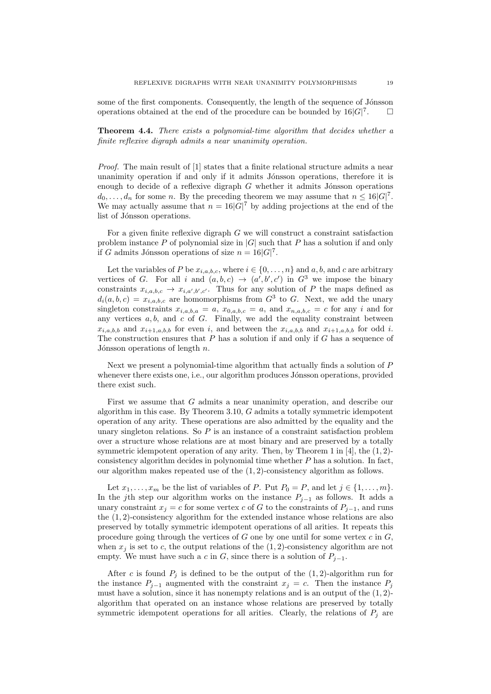some of the first components. Consequently, the length of the sequence of Jónsson operations obtained at the end of the procedure can be bounded by  $16|G|^7$  $\Box$ 

Theorem 4.4. There exists a polynomial-time algorithm that decides whether a finite reflexive digraph admits a near unanimity operation.

Proof. The main result of [1] states that a finite relational structure admits a near unanimity operation if and only if it admits Jónsson operations, therefore it is enough to decide of a reflexive digraph  $G$  whether it admits Jónsson operations  $d_0, \ldots, d_n$  for some n. By the preceding theorem we may assume that  $n \leq 16|G|^7$ . We may actually assume that  $n = 16|G|^7$  by adding projections at the end of the list of Jónsson operations.

For a given finite reflexive digraph G we will construct a constraint satisfaction problem instance P of polynomial size in  $|G|$  such that P has a solution if and only if G admits Jónsson operations of size  $n = 16|G|^7$ .

Let the variables of P be  $x_{i,a,b,c}$ , where  $i \in \{0,\ldots,n\}$  and a, b, and c are arbitrary vertices of G. For all i and  $(a, b, c) \rightarrow (a', b', c')$  in  $G^3$  we impose the binary constraints  $x_{i,a,b,c} \to x_{i,a',b',c'}$ . Thus for any solution of P the maps defined as  $d_i(a, b, c) = x_{i, a, b, c}$  are homomorphisms from  $G^3$  to G. Next, we add the unary singleton constraints  $x_{i,a,b,a} = a$ ,  $x_{0,a,b,c} = a$ , and  $x_{n,a,b,c} = c$  for any i and for any vertices  $a, b$ , and  $c$  of  $G$ . Finally, we add the equality constraint between  $x_{i,a,b,b}$  and  $x_{i+1,a,b,b}$  for even i, and between the  $x_{i,a,b,b}$  and  $x_{i+1,a,b,b}$  for odd i. The construction ensures that  $P$  has a solution if and only if  $G$  has a sequence of Jónsson operations of length  $n$ .

Next we present a polynomial-time algorithm that actually finds a solution of P whenever there exists one, i.e., our algorithm produces Jónsson operations, provided there exist such.

First we assume that G admits a near unanimity operation, and describe our algorithm in this case. By Theorem 3.10, G admits a totally symmetric idempotent operation of any arity. These operations are also admitted by the equality and the unary singleton relations. So  $P$  is an instance of a constraint satisfaction problem over a structure whose relations are at most binary and are preserved by a totally symmetric idempotent operation of any arity. Then, by Theorem 1 in  $[4]$ , the  $(1, 2)$ consistency algorithm decides in polynomial time whether  $P$  has a solution. In fact, our algorithm makes repeated use of the  $(1, 2)$ -consistency algorithm as follows.

Let  $x_1, \ldots, x_m$  be the list of variables of P. Put  $P_0 = P$ , and let  $j \in \{1, \ldots, m\}$ . In the jth step our algorithm works on the instance  $P_{j-1}$  as follows. It adds a unary constraint  $x_j = c$  for some vertex c of G to the constraints of  $P_{j-1}$ , and runs the  $(1, 2)$ -consistency algorithm for the extended instance whose relations are also preserved by totally symmetric idempotent operations of all arities. It repeats this procedure going through the vertices of  $G$  one by one until for some vertex  $c$  in  $G$ . when  $x_i$  is set to c, the output relations of the  $(1, 2)$ -consistency algorithm are not empty. We must have such a c in G, since there is a solution of  $P_{i-1}$ .

After c is found  $P_j$  is defined to be the output of the  $(1, 2)$ -algorithm run for the instance  $P_{j-1}$  augmented with the constraint  $x_j = c$ . Then the instance  $P_j$ must have a solution, since it has nonempty relations and is an output of the  $(1, 2)$ algorithm that operated on an instance whose relations are preserved by totally symmetric idempotent operations for all arities. Clearly, the relations of  $P_i$  are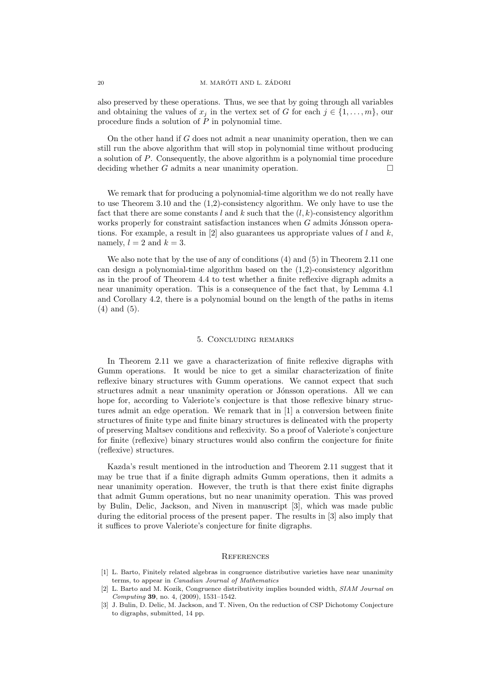also preserved by these operations. Thus, we see that by going through all variables and obtaining the values of  $x_j$  in the vertex set of G for each  $j \in \{1, \ldots, m\}$ , our procedure finds a solution of  $\overline{P}$  in polynomial time.

On the other hand if  $G$  does not admit a near unanimity operation, then we can still run the above algorithm that will stop in polynomial time without producing a solution of P. Consequently, the above algorithm is a polynomial time procedure deciding whether G admits a near unanimity operation.  $\Box$ 

We remark that for producing a polynomial-time algorithm we do not really have to use Theorem 3.10 and the (1,2)-consistency algorithm. We only have to use the fact that there are some constants l and k such that the  $(l, k)$ -consistency algorithm works properly for constraint satisfaction instances when  $G$  admits Jónsson operations. For example, a result in  $[2]$  also guarantees us appropriate values of l and k. namely,  $l = 2$  and  $k = 3$ .

We also note that by the use of any of conditions (4) and (5) in Theorem 2.11 one can design a polynomial-time algorithm based on the (1,2)-consistency algorithm as in the proof of Theorem 4.4 to test whether a finite reflexive digraph admits a near unanimity operation. This is a consequence of the fact that, by Lemma 4.1 and Corollary 4.2, there is a polynomial bound on the length of the paths in items (4) and (5).

## 5. Concluding remarks

In Theorem 2.11 we gave a characterization of finite reflexive digraphs with Gumm operations. It would be nice to get a similar characterization of finite reflexive binary structures with Gumm operations. We cannot expect that such structures admit a near unanimity operation or Jónsson operations. All we can hope for, according to Valeriote's conjecture is that those reflexive binary structures admit an edge operation. We remark that in [1] a conversion between finite structures of finite type and finite binary structures is delineated with the property of preserving Maltsev conditions and reflexivity. So a proof of Valeriote's conjecture for finite (reflexive) binary structures would also confirm the conjecture for finite (reflexive) structures.

Kazda's result mentioned in the introduction and Theorem 2.11 suggest that it may be true that if a finite digraph admits Gumm operations, then it admits a near unanimity operation. However, the truth is that there exist finite digraphs that admit Gumm operations, but no near unanimity operation. This was proved by Bulin, Delic, Jackson, and Niven in manuscript [3], which was made public during the editorial process of the present paper. The results in [3] also imply that it suffices to prove Valeriote's conjecture for finite digraphs.

#### **REFERENCES**

<sup>[1]</sup> L. Barto, Finitely related algebras in congruence distributive varieties have near unanimity terms, to appear in Canadian Journal of Mathematics

<sup>[2]</sup> L. Barto and M. Kozik, Congruence distributivity implies bounded width, SIAM Journal on Computing 39, no. 4, (2009), 1531–1542.

<sup>[3]</sup> J. Bulin, D. Delic, M. Jackson, and T. Niven, On the reduction of CSP Dichotomy Conjecture to digraphs, submitted, 14 pp.